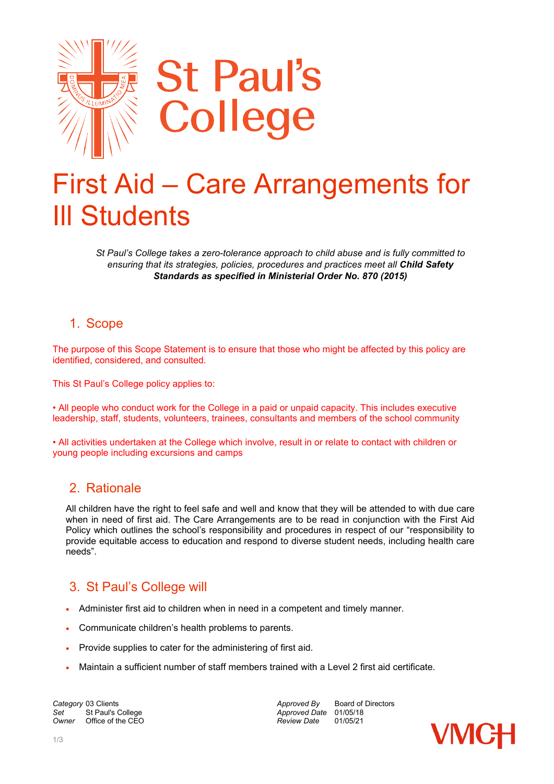

# First Aid – Care Arrangements for Ill Students

*St Paul's College takes a zero-tolerance approach to child abuse and is fully committed to ensuring that its strategies, policies, procedures and practices meet all Child Safety Standards as specified in Ministerial Order No. 870 (2015)*

### 1. Scope

The purpose of this Scope Statement is to ensure that those who might be affected by this policy are identified, considered, and consulted.

This St Paul's College policy applies to:

• All people who conduct work for the College in a paid or unpaid capacity. This includes executive leadership, staff, students, volunteers, trainees, consultants and members of the school community

• All activities undertaken at the College which involve, result in or relate to contact with children or young people including excursions and camps

## 2. Rationale

All children have the right to feel safe and well and know that they will be attended to with due care when in need of first aid. The Care Arrangements are to be read in conjunction with the First Aid Policy which outlines the school's responsibility and procedures in respect of our "responsibility to provide equitable access to education and respond to diverse student needs, including health care needs".

## 3. St Paul's College will

- Administer first aid to children when in need in a competent and timely manner.
- Communicate children's health problems to parents.
- Provide supplies to cater for the administering of first aid.
- Maintain a sufficient number of staff members trained with a Level 2 first aid certificate.

**Category** 03 Clients **Approved By** Board of Directors *Approved By* Board of Directors *Approved Date* 01/05/18 *Set* St Paul's College *Approved Date* 01/05/18 *Office of the CEO* 

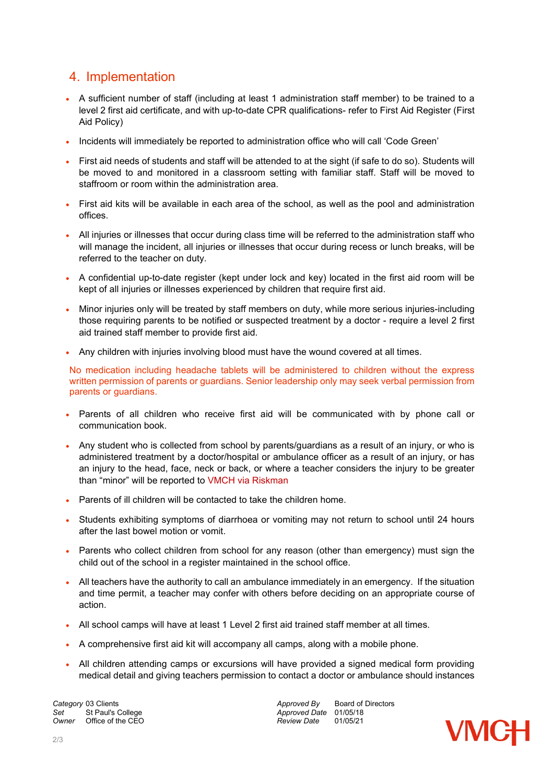## 4. Implementation

- A sufficient number of staff (including at least 1 administration staff member) to be trained to a level 2 first aid certificate, and with up-to-date CPR qualifications- refer to First Aid Register (First Aid Policy)
- Incidents will immediately be reported to administration office who will call 'Code Green'
- First aid needs of students and staff will be attended to at the sight (if safe to do so). Students will be moved to and monitored in a classroom setting with familiar staff. Staff will be moved to staffroom or room within the administration area.
- First aid kits will be available in each area of the school, as well as the pool and administration offices.
- All injuries or illnesses that occur during class time will be referred to the administration staff who will manage the incident, all injuries or illnesses that occur during recess or lunch breaks, will be referred to the teacher on duty.
- A confidential up-to-date register (kept under lock and key) located in the first aid room will be kept of all injuries or illnesses experienced by children that require first aid.
- Minor injuries only will be treated by staff members on duty, while more serious injuries-including those requiring parents to be notified or suspected treatment by a doctor - require a level 2 first aid trained staff member to provide first aid.
- Any children with injuries involving blood must have the wound covered at all times.

No medication including headache tablets will be administered to children without the express written permission of parents or guardians. Senior leadership only may seek verbal permission from parents or guardians.

- Parents of all children who receive first aid will be communicated with by phone call or communication book.
- Any student who is collected from school by parents/guardians as a result of an injury, or who is administered treatment by a doctor/hospital or ambulance officer as a result of an injury, or has an injury to the head, face, neck or back, or where a teacher considers the injury to be greater than "minor" will be reported to VMCH via Riskman
- Parents of ill children will be contacted to take the children home.
- Students exhibiting symptoms of diarrhoea or vomiting may not return to school until 24 hours after the last bowel motion or vomit.
- Parents who collect children from school for any reason (other than emergency) must sign the child out of the school in a register maintained in the school office.
- All teachers have the authority to call an ambulance immediately in an emergency. If the situation and time permit, a teacher may confer with others before deciding on an appropriate course of action.
- All school camps will have at least 1 Level 2 first aid trained staff member at all times.
- A comprehensive first aid kit will accompany all camps, along with a mobile phone.
- All children attending camps or excursions will have provided a signed medical form providing medical detail and giving teachers permission to contact a doctor or ambulance should instances

Set St Paul's College *Set* St Paul's College **Approved Date** 01/05/18<br> *Approved Date* 01/05/21<br> *Approved Date* 01/05/21 *Owner* Office of the CEO

**Category** 03 Clients<br> **Category** 03 Clients<br> **Approved Date 01/05/18**<br> *Approved Date* 01/05/18